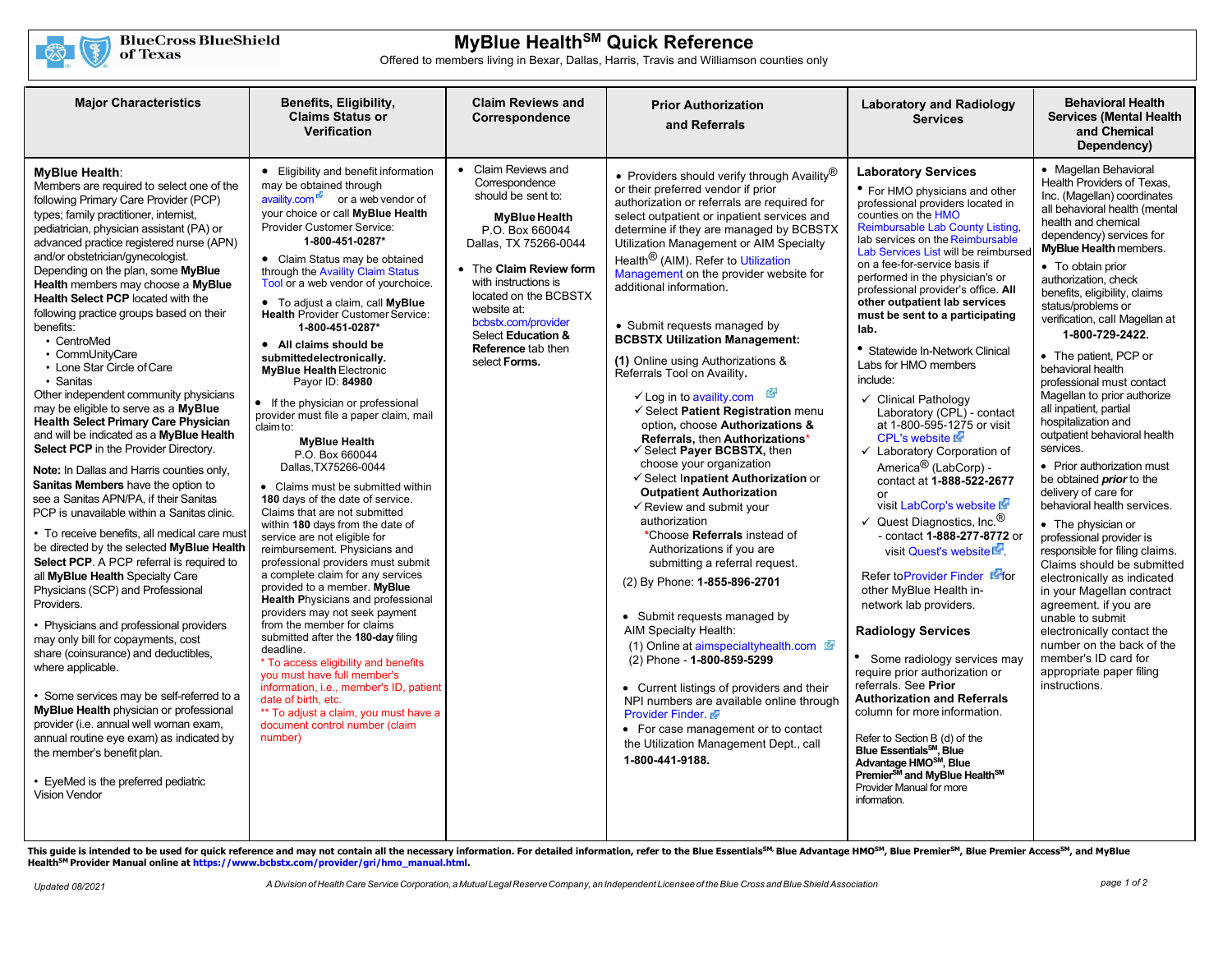

# **MyBlue HealthSM Quick Reference**

Offered to members living in Bexar, Dallas, Harris, Travis and Williamson counties only

| <b>Major Characteristics</b>                                                                                                                                                                                                                                                                                                                                                                                                                                                                                                                                                                                                                                                                                                                                                                                                                                                                                                                                                                                                                                                                                                                                                                                                                                                                                                                                                                                                                                                                                                                                                                                   | Benefits, Eligibility,<br><b>Claims Status or</b>                                                                                                                                                                                                                                                                                                                                                                                                                                                                                                                                                                                                                                                                                                                                                                                                                                                                                                                                                                                                                                                                                                                                                                                                                                                                                                                                                                          | <b>Claim Reviews and</b><br>Correspondence                                                                                                                                                                                                                                                                                | <b>Prior Authorization</b>                                                                                                                                                                                                                                                                                                                                                                                                                                                                                                                                                                                                                                                                                                                                                                                                                                                                                                                                                                                                                                                                                                                                                                                                                                                                                                                                                            | <b>Laboratory and Radiology</b><br><b>Services</b>                                                                                                                                                                                                                                                                                                                                                                                                                                                                                                                                                                                                                                                                                                                                                                                                                                                                                                                                                                                                                                                                                                                                                                                                                                                                                                                                               | <b>Behavioral Health</b><br><b>Services (Mental Health)</b>                                                                                                                                                                                                                                                                                                                                                                                                                                                                                                                                                                                                                                                                                                                                                                                                                                                                                                                                                                                                 |
|----------------------------------------------------------------------------------------------------------------------------------------------------------------------------------------------------------------------------------------------------------------------------------------------------------------------------------------------------------------------------------------------------------------------------------------------------------------------------------------------------------------------------------------------------------------------------------------------------------------------------------------------------------------------------------------------------------------------------------------------------------------------------------------------------------------------------------------------------------------------------------------------------------------------------------------------------------------------------------------------------------------------------------------------------------------------------------------------------------------------------------------------------------------------------------------------------------------------------------------------------------------------------------------------------------------------------------------------------------------------------------------------------------------------------------------------------------------------------------------------------------------------------------------------------------------------------------------------------------------|----------------------------------------------------------------------------------------------------------------------------------------------------------------------------------------------------------------------------------------------------------------------------------------------------------------------------------------------------------------------------------------------------------------------------------------------------------------------------------------------------------------------------------------------------------------------------------------------------------------------------------------------------------------------------------------------------------------------------------------------------------------------------------------------------------------------------------------------------------------------------------------------------------------------------------------------------------------------------------------------------------------------------------------------------------------------------------------------------------------------------------------------------------------------------------------------------------------------------------------------------------------------------------------------------------------------------------------------------------------------------------------------------------------------------|---------------------------------------------------------------------------------------------------------------------------------------------------------------------------------------------------------------------------------------------------------------------------------------------------------------------------|---------------------------------------------------------------------------------------------------------------------------------------------------------------------------------------------------------------------------------------------------------------------------------------------------------------------------------------------------------------------------------------------------------------------------------------------------------------------------------------------------------------------------------------------------------------------------------------------------------------------------------------------------------------------------------------------------------------------------------------------------------------------------------------------------------------------------------------------------------------------------------------------------------------------------------------------------------------------------------------------------------------------------------------------------------------------------------------------------------------------------------------------------------------------------------------------------------------------------------------------------------------------------------------------------------------------------------------------------------------------------------------|--------------------------------------------------------------------------------------------------------------------------------------------------------------------------------------------------------------------------------------------------------------------------------------------------------------------------------------------------------------------------------------------------------------------------------------------------------------------------------------------------------------------------------------------------------------------------------------------------------------------------------------------------------------------------------------------------------------------------------------------------------------------------------------------------------------------------------------------------------------------------------------------------------------------------------------------------------------------------------------------------------------------------------------------------------------------------------------------------------------------------------------------------------------------------------------------------------------------------------------------------------------------------------------------------------------------------------------------------------------------------------------------------|-------------------------------------------------------------------------------------------------------------------------------------------------------------------------------------------------------------------------------------------------------------------------------------------------------------------------------------------------------------------------------------------------------------------------------------------------------------------------------------------------------------------------------------------------------------------------------------------------------------------------------------------------------------------------------------------------------------------------------------------------------------------------------------------------------------------------------------------------------------------------------------------------------------------------------------------------------------------------------------------------------------------------------------------------------------|
|                                                                                                                                                                                                                                                                                                                                                                                                                                                                                                                                                                                                                                                                                                                                                                                                                                                                                                                                                                                                                                                                                                                                                                                                                                                                                                                                                                                                                                                                                                                                                                                                                | <b>Verification</b>                                                                                                                                                                                                                                                                                                                                                                                                                                                                                                                                                                                                                                                                                                                                                                                                                                                                                                                                                                                                                                                                                                                                                                                                                                                                                                                                                                                                        |                                                                                                                                                                                                                                                                                                                           | and Referrals                                                                                                                                                                                                                                                                                                                                                                                                                                                                                                                                                                                                                                                                                                                                                                                                                                                                                                                                                                                                                                                                                                                                                                                                                                                                                                                                                                         |                                                                                                                                                                                                                                                                                                                                                                                                                                                                                                                                                                                                                                                                                                                                                                                                                                                                                                                                                                                                                                                                                                                                                                                                                                                                                                                                                                                                  | and Chemical<br>Dependency)                                                                                                                                                                                                                                                                                                                                                                                                                                                                                                                                                                                                                                                                                                                                                                                                                                                                                                                                                                                                                                 |
| MyBlue Health:<br>Members are required to select one of the<br>following Primary Care Provider (PCP)<br>types; family practitioner, internist,<br>pediatrician, physician assistant (PA) or<br>advanced practice registered nurse (APN)<br>and/or obstetrician/gynecologist.<br>Depending on the plan, some MyBlue<br>Health members may choose a MyBlue<br><b>Health Select PCP located with the</b><br>following practice groups based on their<br>benefits:<br>• CentroMed<br>• CommUnityCare<br>• Lone Star Circle of Care<br>• Sanitas<br>Other independent community physicians<br>may be eligible to serve as a MyBlue<br><b>Health Select Primary Care Physician</b><br>and will be indicated as a MyBlue Health<br><b>Select PCP</b> in the Provider Directory.<br>Note: In Dallas and Harris counties only,<br>Sanitas Members have the option to<br>see a Sanitas APN/PA, if their Sanitas<br>PCP is unavailable within a Sanitas clinic.<br>• To receive benefits, all medical care must<br>be directed by the selected MyBlue Health<br>Select PCP. A PCP referral is required to<br>all MyBlue Health Specialty Care<br>Physicians (SCP) and Professional<br>Providers.<br>• Physicians and professional providers<br>may only bill for copayments, cost<br>share (coinsurance) and deductibles,<br>where applicable.<br>• Some services may be self-referred to a<br>MyBlue Health physician or professional<br>provider (i.e. annual well woman exam,<br>annual routine eye exam) as indicated by<br>the member's benefit plan.<br>• EyeMed is the preferred pediatric<br><b>Vision Vendor</b> | • Eligibility and benefit information<br>may be obtained through<br>$\overline{avality.com}$ or a web vendor of<br>your choice or call MyBlue Health<br>Provider Customer Service:<br>1-800-451-0287*<br>• Claim Status may be obtained<br>through the Availity Claim Status<br>Tool or a web vendor of yourchoice.<br>• To adjust a claim, call MyBlue<br><b>Health Provider Customer Service:</b><br>1-800-451-0287*<br>• All claims should be<br>submittedelectronically.<br><b>MyBlue Health Electronic</b><br>Payor ID: 84980<br>• If the physician or professional<br>provider must file a paper claim, mail<br>claim to:<br><b>MyBlue Health</b><br>P.O. Box 660044<br>Dallas.TX75266-0044<br>• Claims must be submitted within<br>180 days of the date of service.<br>Claims that are not submitted<br>within 180 days from the date of<br>service are not eligible for<br>reimbursement. Physicians and<br>professional providers must submit<br>a complete claim for any services<br>provided to a member. MyBlue<br><b>Health Physicians and professional</b><br>providers may not seek payment<br>from the member for claims<br>submitted after the 180-day filing<br>deadline.<br>* To access eligibility and benefits<br>vou must have full member's<br>information, i.e., member's ID, patient<br>date of birth, etc.<br>** To adjust a claim, you must have a<br>document control number (claim<br>number) | Claim Reviews and<br>$\bullet$<br>Correspondence<br>should be sent to:<br>MyBlue Health<br>P.O. Box 660044<br>Dallas, TX 75266-0044<br>• The Claim Review form<br>with instructions is<br>located on the BCBSTX<br>website at:<br>bcbstx.com/provider<br>Select Education &<br><b>Reference tab then</b><br>select Forms. | • Providers should verify through Availity $^{\circledR}$<br>or their preferred vendor if prior<br>authorization or referrals are required for<br>select outpatient or inpatient services and<br>determine if they are managed by BCBSTX<br>Utilization Management or AIM Specialty<br>Health <sup>®</sup> (AIM). Refer to Utilization<br>Management on the provider website for<br>additional information.<br>• Submit requests managed by<br><b>BCBSTX Utilization Management:</b><br>(1) Online using Authorizations &<br>Referrals Tool on Availity.<br>$\checkmark$ Log in to availity.com<br>Gelect Patient Registration menu<br>option, choose Authorizations &<br>Referrals, then Authorizations*<br>✓ Select Payer BCBSTX, then<br>choose your organization<br>√ Select Inpatient Authorization or<br><b>Outpatient Authorization</b><br>$\checkmark$ Review and submit your<br>authorization<br>*Choose Referrals instead of<br>Authorizations if you are<br>submitting a referral request.<br>(2) By Phone: 1-855-896-2701<br>• Submit requests managed by<br>AIM Specialty Health:<br>(1) Online at aimspecialtyhealth.com<br>(2) Phone - 1-800-859-5299<br>• Current listings of providers and their<br>NPI numbers are available online through<br>Provider Finder.<br>• For case management or to contact<br>the Utilization Management Dept., call<br>1-800-441-9188. | <b>Laboratory Services</b><br>• For HMO physicians and other<br>professional providers located in<br>counties on the HMO<br>Reimbursable Lab County Listing,<br>lab services on the Reimbursable<br>Lab Services List will be reimbursed<br>on a fee-for-service basis if<br>performed in the physician's or<br>professional provider's office. All<br>other outpatient lab services<br>must be sent to a participating<br>lab.<br>• Statewide In-Network Clinical<br>Labs for HMO members<br>include:<br>Clinical Pathology<br>$\checkmark$<br>Laboratory (CPL) - contact<br>at 1-800-595-1275 or visit<br><b>CPL's website Is-</b><br>$\checkmark$ Laboratory Corporation of<br>America <sup>®</sup> (LabCorp) -<br>contact at 1-888-522-2677<br>or<br>visit LabCorp's website<br>$\checkmark$ Quest Diagnostics, Inc. <sup>®</sup><br>- contact 1-888-277-8772 or<br>visit Quest's website<br>Refer to Provider Finder<br>other MyBlue Health in-<br>network lab providers.<br><b>Radiology Services</b><br>• Some radiology services may<br>require prior authorization or<br>referrals. See Prior<br><b>Authorization and Referrals</b><br>column for more information.<br>Refer to Section B (d) of the<br>Blue Essentials <sup>SM</sup> , Blue<br>Advantage HMO <sup>SM</sup> , Blue<br>Premier <sup>SM</sup> and MyBlue Health <sup>SM</sup><br>Provider Manual for more<br>information. | • Magellan Behavioral<br>Health Providers of Texas.<br>Inc. (Magellan) coordinates<br>all behavioral health (mental<br>health and chemical<br>dependency) services for<br><b>MyBlue Health members.</b><br>• To obtain prior<br>authorization, check<br>benefits, eligibility, claims<br>status/problems or<br>verification, call Magellan at<br>1-800-729-2422.<br>• The patient, PCP or<br>behavioral health<br>professional must contact<br>Magellan to prior authorize<br>all inpatient, partial<br>hospitalization and<br>outpatient behavioral health<br>services.<br>• Prior authorization must<br>be obtained <i>prior</i> to the<br>delivery of care for<br>behavioral health services.<br>• The physician or<br>professional provider is<br>responsible for filing claims.<br>Claims should be submitted<br>electronically as indicated<br>in your Magellan contract<br>agreement. if you are<br>unable to submit<br>electronically contact the<br>number on the back of the<br>member's ID card for<br>appropriate paper filing<br>instructions. |

This guide is intended to be used for quick reference and may not contain all the necessary information. For detailed information, refer to the Blue Essentials<sup>SM,</sup> Blue Advantage HMO<sup>SM</sup>, Blue Premier<sup>SM</sup>, Blue Premier Ac **HealthSM Provider Manual online a[t https://www.bcbstx.com/provider/gri/hmo\\_manual.html.](https://www.bcbstx.com/provider/gri/hmo_manual.html)**